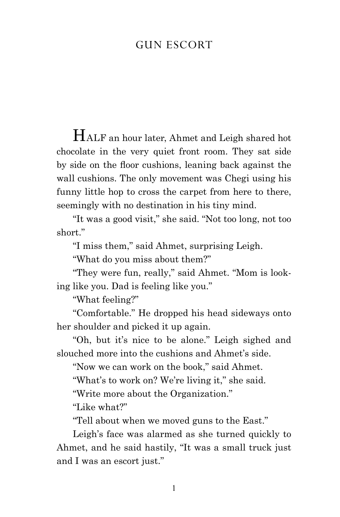## Gun escort

Half an hour later, Ahmet and Leigh shared hot chocolate in the very quiet front room. They sat side by side on the floor cushions, leaning back against the wall cushions. The only movement was Chegi using his funny little hop to cross the carpet from here to there, seemingly with no destination in his tiny mind.

"It was a good visit," she said. "Not too long, not too short."

"I miss them," said Ahmet, surprising Leigh.

"What do you miss about them?"

"They were fun, really," said Ahmet. "Mom is looking like you. Dad is feeling like you."

"What feeling?"

"Comfortable." He dropped his head sideways onto her shoulder and picked it up again.

"Oh, but it's nice to be alone." Leigh sighed and slouched more into the cushions and Ahmet's side.

"Now we can work on the book," said Ahmet.

"What's to work on? We're living it," she said.

"Write more about the Organization."

"Like what?"

"Tell about when we moved guns to the East."

Leigh's face was alarmed as she turned quickly to Ahmet, and he said hastily, "It was a small truck just and I was an escort just."

1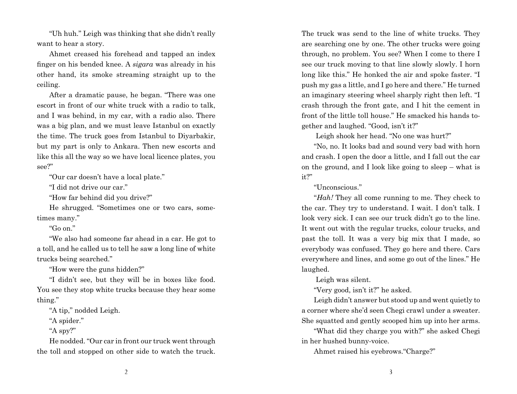"Uh huh." Leigh was thinking that she didn't really want to hear a story.

Ahmet creased his forehead and tapped an index finger on his bended knee. A *sigara* was already in his other hand, its smoke streaming straight up to the ceiling.

After a dramatic pause, he began. "There was one escort in front of our white truck with a radio to talk, and I was behind, in my car, with a radio also. There was a big plan, and we must leave Istanbul on exactly the time. The truck goes from Istanbul to Diyarbakir, but my part is only to Ankara. Then new escorts and like this all the way so we have local licence plates, you see?"

"Our car doesn't have a local plate."

"I did not drive our car."

"How far behind did you drive?"

He shrugged. "Sometimes one or two cars, sometimes many."

"Go on."

"We also had someone far ahead in a car. He got to a toll, and he called us to tell he saw a long line of white trucks being searched."

"How were the guns hidden?"

"I didn't see, but they will be in boxes like food. You see they stop white trucks because they hear some thing."

"A tip," nodded Leigh.

"A spider."

"A spy?"

He nodded. "Our car in front our truck went through the toll and stopped on other side to watch the truck.

The truck was send to the line of white trucks. They are searching one by one. The other trucks were going through, no problem. You see? When I come to there I see our truck moving to that line slowly slowly. I horn long like this." He honked the air and spoke faster. "I push my gas a little, and I go here and there." He turned an imaginary steering wheel sharply right then left. "I crash through the front gate, and I hit the cement in front of the little toll house." He smacked his hands together and laughed. "Good, isn't it?"

Leigh shook her head. "No one was hurt?"

"No, no. It looks bad and sound very bad with horn and crash. I open the door a little, and I fall out the car on the ground, and I look like going to sleep – what is it?"

"Unconscious."

"*Hah!* They all come running to me. They check to the car. They try to understand. I wait. I don't talk. I look very sick. I can see our truck didn't go to the line. It went out with the regular trucks, colour trucks, and past the toll. It was a very big mix that I made, so everybody was confused. They go here and there. Cars everywhere and lines, and some go out of the lines." He laughed.

Leigh was silent.

"Very good, isn't it?" he asked.

Leigh didn't answer but stood up and went quietly to a corner where she'd seen Chegi crawl under a sweater. She squatted and gently scooped him up into her arms.

"What did they charge you with?" she asked Chegi in her hushed bunny-voice.

Ahmet raised his eyebrows."Charge?"